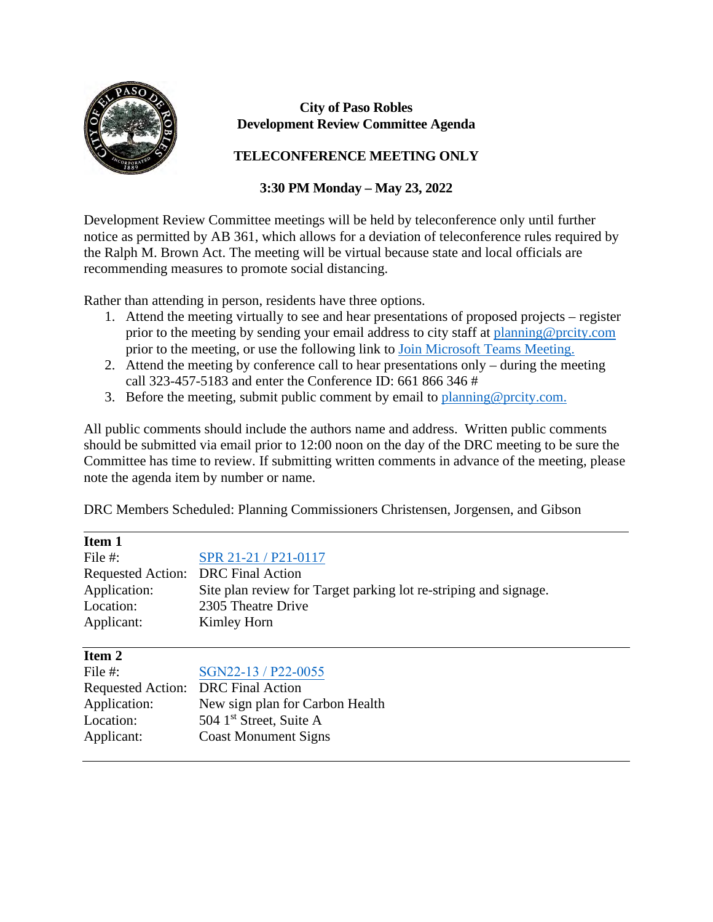

## **City of Paso Robles Development Review Committee Agenda**

## **TELECONFERENCE MEETING ONLY**

## **3:30 PM Monday – May 23, 2022**

Development Review Committee meetings will be held by teleconference only until further notice as permitted by AB 361, which allows for a deviation of teleconference rules required by the Ralph M. Brown Act. The meeting will be virtual because state and local officials are recommending measures to promote social distancing.

Rather than attending in person, residents have three options.

- 1. Attend the meeting virtually to see and hear presentations of proposed projects register prior to the meeting by sending your email address to city staff at [planning@prcity.com](mailto:planning@prcity.com) prior to the meeting, or use the following link to [Join Microsoft Teams Meeting.](https://teams.microsoft.com/l/meetup-join/19%3ameeting_NjJkZDkyYWUtMGVjYy00NjA3LWI4NjctYTVjNmRiZThiZTY4%40thread.v2/0?context=%7b%22Tid%22%3a%221a5b5698-d524-42f2-abba-fb4615f7b1d6%22%2c%22Oid%22%3a%2266ba4e2a-3671-4e72-9d7a-eef3135a0aef%22%7d)
- 2. Attend the meeting by conference call to hear presentations only during the meeting call 323-457-5183 and enter the Conference ID: 661 866 346 #
- 3. Before the meeting, submit public comment by email to planning @prcity.com.

All public comments should include the authors name and address. Written public comments should be submitted via email prior to 12:00 noon on the day of the DRC meeting to be sure the Committee has time to review. If submitting written comments in advance of the meeting, please note the agenda item by number or name.

DRC Members Scheduled: Planning Commissioners Christensen, Jorgensen, and Gibson

| Item 1                             |                                                                  |
|------------------------------------|------------------------------------------------------------------|
| File #:                            | SPR 21-21 / P21-0117                                             |
| Requested Action: DRC Final Action |                                                                  |
| Application:                       | Site plan review for Target parking lot re-striping and signage. |
| Location:                          | 2305 Theatre Drive                                               |
| Applicant:                         | Kimley Horn                                                      |
|                                    |                                                                  |
| Item 2                             |                                                                  |
| File #:                            | SGN22-13 / P22-0055                                              |
|                                    | Requested Action: DRC Final Action                               |
| Application:                       | New sign plan for Carbon Health                                  |
| Location:                          | 504 1 <sup>st</sup> Street, Suite A                              |
|                                    |                                                                  |
| Applicant:                         | <b>Coast Monument Signs</b>                                      |